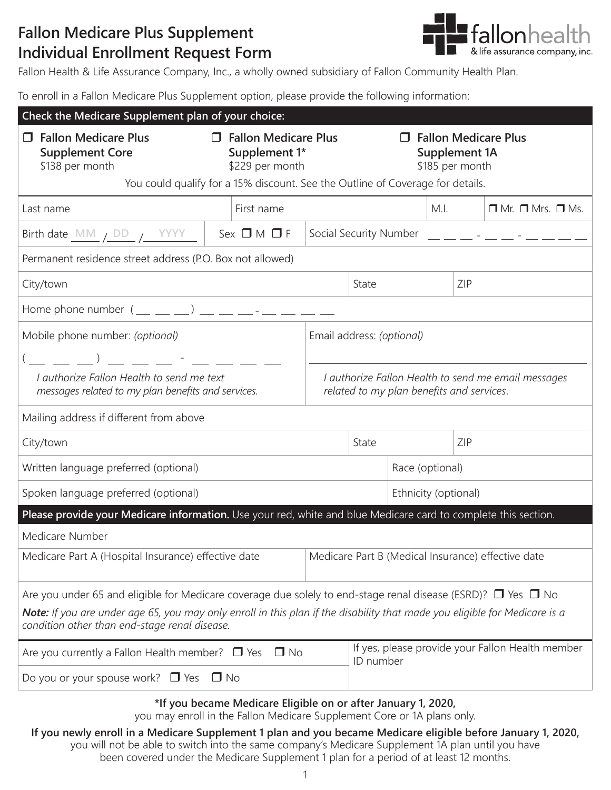## **Fallon Medicare Plus Supplement Individual Enrollment Request Form**



Fallon Health & Life Assurance Company, Inc., a wholly owned subsidiary of Fallon Community Health Plan.

To enroll in a Fallon Medicare Plus Supplement option, please provide the following information:

| Check the Medicare Supplement plan of your choice:                                                                                                                                                                |                                                                                                                                             |                                                                                                  |                                                               |      |  |                                   |  |
|-------------------------------------------------------------------------------------------------------------------------------------------------------------------------------------------------------------------|---------------------------------------------------------------------------------------------------------------------------------------------|--------------------------------------------------------------------------------------------------|---------------------------------------------------------------|------|--|-----------------------------------|--|
| <b>Fallon Medicare Plus</b><br><b>Supplement Core</b><br>\$138 per month                                                                                                                                          | <b>Fallon Medicare Plus</b><br><b>T</b> Fallon Medicare Plus<br>Supplement 1*<br><b>Supplement 1A</b><br>\$229 per month<br>\$185 per month |                                                                                                  |                                                               |      |  |                                   |  |
| You could qualify for a 15% discount. See the Outline of Coverage for details.                                                                                                                                    |                                                                                                                                             |                                                                                                  |                                                               |      |  |                                   |  |
| Last name                                                                                                                                                                                                         | First name                                                                                                                                  |                                                                                                  |                                                               | M.I. |  | $\Box$ Mr. $\Box$ Mrs. $\Box$ Ms. |  |
| Birth date $\underline{\mathsf{MM}}$ / $\underline{\mathsf{DD}}$ / $\underline{\mathsf{YYYY}}$                                                                                                                    | $Sex \Box M \Box F$                                                                                                                         |                                                                                                  |                                                               |      |  |                                   |  |
| Permanent residence street address (P.O. Box not allowed)                                                                                                                                                         |                                                                                                                                             |                                                                                                  |                                                               |      |  |                                   |  |
| City/town                                                                                                                                                                                                         |                                                                                                                                             |                                                                                                  | State<br>ZIP                                                  |      |  |                                   |  |
| Home phone number $($ __ _ _ _ _) __ __ _ _ _ _ _ _ __ _                                                                                                                                                          |                                                                                                                                             |                                                                                                  |                                                               |      |  |                                   |  |
| Mobile phone number: (optional)                                                                                                                                                                                   |                                                                                                                                             | Email address: (optional)                                                                        |                                                               |      |  |                                   |  |
|                                                                                                                                                                                                                   |                                                                                                                                             |                                                                                                  |                                                               |      |  |                                   |  |
| I authorize Fallon Health to send me text<br>messages related to my plan benefits and services.                                                                                                                   |                                                                                                                                             | I authorize Fallon Health to send me email messages<br>related to my plan benefits and services. |                                                               |      |  |                                   |  |
| Mailing address if different from above                                                                                                                                                                           |                                                                                                                                             |                                                                                                  |                                                               |      |  |                                   |  |
| City/town                                                                                                                                                                                                         |                                                                                                                                             |                                                                                                  | State<br>ZIP                                                  |      |  |                                   |  |
| Written language preferred (optional)<br>Race (optional)                                                                                                                                                          |                                                                                                                                             |                                                                                                  |                                                               |      |  |                                   |  |
| Spoken language preferred (optional)                                                                                                                                                                              |                                                                                                                                             |                                                                                                  | Ethnicity (optional)                                          |      |  |                                   |  |
| Please provide your Medicare information. Use your red, white and blue Medicare card to complete this section.                                                                                                    |                                                                                                                                             |                                                                                                  |                                                               |      |  |                                   |  |
| Medicare Number                                                                                                                                                                                                   |                                                                                                                                             |                                                                                                  |                                                               |      |  |                                   |  |
| Medicare Part A (Hospital Insurance) effective date                                                                                                                                                               |                                                                                                                                             |                                                                                                  | Medicare Part B (Medical Insurance) effective date            |      |  |                                   |  |
| Are you under 65 and eligible for Medicare coverage due solely to end-stage renal disease (ESRD)? $\Box$ Yes $\Box$ No                                                                                            |                                                                                                                                             |                                                                                                  |                                                               |      |  |                                   |  |
| Note: If you are under age 65, you may only enroll in this plan if the disability that made you eligible for Medicare is a<br>condition other than end-stage renal disease.                                       |                                                                                                                                             |                                                                                                  |                                                               |      |  |                                   |  |
| Are you currently a Fallon Health member? $\Box$ Yes<br>$\Box$ No                                                                                                                                                 |                                                                                                                                             |                                                                                                  | If yes, please provide your Fallon Health member<br>ID number |      |  |                                   |  |
| Do you or your spouse work? $\Box$ Yes<br>$\Box$ No                                                                                                                                                               |                                                                                                                                             |                                                                                                  |                                                               |      |  |                                   |  |
| *If you became Medicare Eligible on or after January 1, 2020,<br>you may enroll in the Fallon Medicare Supplement Core or 1A plans only.                                                                          |                                                                                                                                             |                                                                                                  |                                                               |      |  |                                   |  |
| If you newly enroll in a Medicare Supplement 1 plan and you became Medicare eligible before January 1, 2020,<br>you will not be able to switch into the same company's Medicare Supplement 1A plan until you have |                                                                                                                                             |                                                                                                  |                                                               |      |  |                                   |  |

1 been covered under the Medicare Supplement 1 plan for a period of at least 12 months.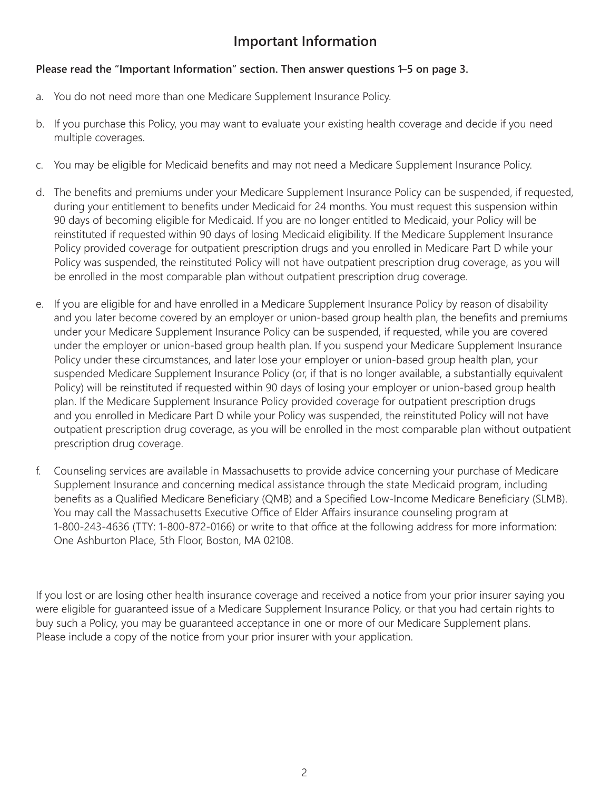## **Important Information**

## **Please read the "Important Information" section. Then answer questions 1–5 on page 3.**

- a. You do not need more than one Medicare Supplement Insurance Policy.
- b. If you purchase this Policy, you may want to evaluate your existing health coverage and decide if you need multiple coverages.
- c. You may be eligible for Medicaid benefits and may not need a Medicare Supplement Insurance Policy.
- d. The benefits and premiums under your Medicare Supplement Insurance Policy can be suspended, if requested, during your entitlement to benefits under Medicaid for 24 months. You must request this suspension within 90 days of becoming eligible for Medicaid. If you are no longer entitled to Medicaid, your Policy will be reinstituted if requested within 90 days of losing Medicaid eligibility. If the Medicare Supplement Insurance Policy provided coverage for outpatient prescription drugs and you enrolled in Medicare Part D while your Policy was suspended, the reinstituted Policy will not have outpatient prescription drug coverage, as you will be enrolled in the most comparable plan without outpatient prescription drug coverage.
- e. If you are eligible for and have enrolled in a Medicare Supplement Insurance Policy by reason of disability and you later become covered by an employer or union-based group health plan, the benefits and premiums under your Medicare Supplement Insurance Policy can be suspended, if requested, while you are covered under the employer or union-based group health plan. If you suspend your Medicare Supplement Insurance Policy under these circumstances, and later lose your employer or union-based group health plan, your suspended Medicare Supplement Insurance Policy (or, if that is no longer available, a substantially equivalent Policy) will be reinstituted if requested within 90 days of losing your employer or union-based group health plan. If the Medicare Supplement Insurance Policy provided coverage for outpatient prescription drugs and you enrolled in Medicare Part D while your Policy was suspended, the reinstituted Policy will not have outpatient prescription drug coverage, as you will be enrolled in the most comparable plan without outpatient prescription drug coverage.
- f. Counseling services are available in Massachusetts to provide advice concerning your purchase of Medicare Supplement Insurance and concerning medical assistance through the state Medicaid program, including benefits as a Qualified Medicare Beneficiary (QMB) and a Specified Low-Income Medicare Beneficiary (SLMB). You may call the Massachusetts Executive Office of Elder Affairs insurance counseling program at 1-800-243-4636 (TTY: 1-800-872-0166) or write to that office at the following address for more information: One Ashburton Place, 5th Floor, Boston, MA 02108.

If you lost or are losing other health insurance coverage and received a notice from your prior insurer saying you were eligible for guaranteed issue of a Medicare Supplement Insurance Policy, or that you had certain rights to buy such a Policy, you may be guaranteed acceptance in one or more of our Medicare Supplement plans. Please include a copy of the notice from your prior insurer with your application.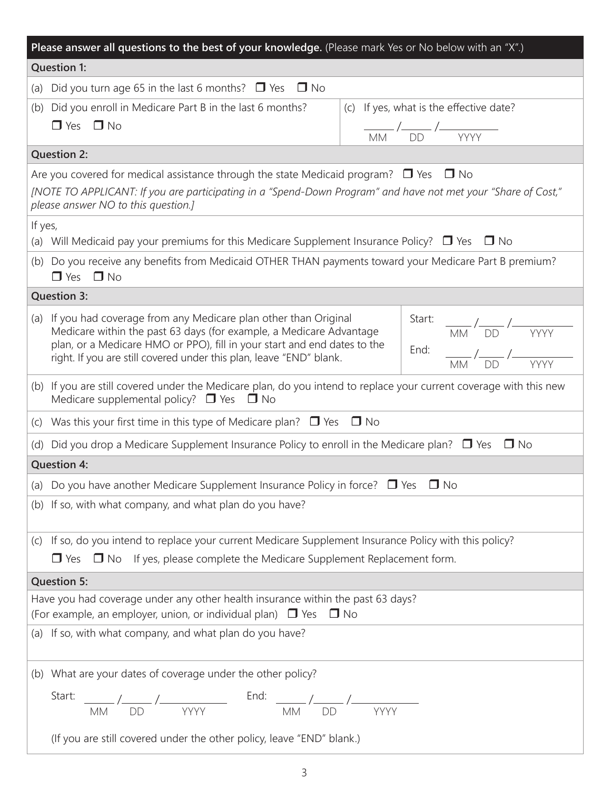| Please answer all questions to the best of your knowledge. (Please mark Yes or No below with an "X".)                                                         |                                                                                                                                                                                                                                                                                                                                                                                                                                                                                                                                                                                                                                                                   |                                                                                                                                                                                                                                                                                                                                                                               |  |  |  |  |  |
|---------------------------------------------------------------------------------------------------------------------------------------------------------------|-------------------------------------------------------------------------------------------------------------------------------------------------------------------------------------------------------------------------------------------------------------------------------------------------------------------------------------------------------------------------------------------------------------------------------------------------------------------------------------------------------------------------------------------------------------------------------------------------------------------------------------------------------------------|-------------------------------------------------------------------------------------------------------------------------------------------------------------------------------------------------------------------------------------------------------------------------------------------------------------------------------------------------------------------------------|--|--|--|--|--|
| <b>Question 1:</b>                                                                                                                                            |                                                                                                                                                                                                                                                                                                                                                                                                                                                                                                                                                                                                                                                                   |                                                                                                                                                                                                                                                                                                                                                                               |  |  |  |  |  |
|                                                                                                                                                               | (a) Did you turn age 65 in the last 6 months? $\Box$ Yes $\Box$ No                                                                                                                                                                                                                                                                                                                                                                                                                                                                                                                                                                                                |                                                                                                                                                                                                                                                                                                                                                                               |  |  |  |  |  |
| (b)                                                                                                                                                           | Did you enroll in Medicare Part B in the last 6 months?                                                                                                                                                                                                                                                                                                                                                                                                                                                                                                                                                                                                           | (c) If yes, what is the effective date?                                                                                                                                                                                                                                                                                                                                       |  |  |  |  |  |
|                                                                                                                                                               | $\Box$ Yes $\Box$ No                                                                                                                                                                                                                                                                                                                                                                                                                                                                                                                                                                                                                                              | $\frac{1}{\sqrt{M}}$ / $\frac{1}{\sqrt{D}}$ / $\frac{1}{\sqrt{Y}}$ / $\frac{1}{\sqrt{Y}}$ / $\frac{1}{\sqrt{Y}}$ / $\frac{1}{\sqrt{Y}}$ / $\frac{1}{\sqrt{Y}}$ / $\frac{1}{\sqrt{Y}}$ / $\frac{1}{\sqrt{Y}}$ / $\frac{1}{\sqrt{Y}}$ / $\frac{1}{\sqrt{Y}}$ / $\frac{1}{\sqrt{Y}}$ / $\frac{1}{\sqrt{Y}}$ / $\frac{1}{\sqrt{Y}}$ / $\frac{1}{\sqrt{Y}}$ / $\frac{1}{\sqrt{Y}}$ |  |  |  |  |  |
|                                                                                                                                                               | <b>Question 2:</b>                                                                                                                                                                                                                                                                                                                                                                                                                                                                                                                                                                                                                                                |                                                                                                                                                                                                                                                                                                                                                                               |  |  |  |  |  |
|                                                                                                                                                               | Are you covered for medical assistance through the state Medicaid program? $\Box$ Yes $\Box$ No                                                                                                                                                                                                                                                                                                                                                                                                                                                                                                                                                                   |                                                                                                                                                                                                                                                                                                                                                                               |  |  |  |  |  |
|                                                                                                                                                               | [NOTE TO APPLICANT: If you are participating in a "Spend-Down Program" and have not met your "Share of Cost,"<br>please answer NO to this question.]                                                                                                                                                                                                                                                                                                                                                                                                                                                                                                              |                                                                                                                                                                                                                                                                                                                                                                               |  |  |  |  |  |
| If yes,                                                                                                                                                       |                                                                                                                                                                                                                                                                                                                                                                                                                                                                                                                                                                                                                                                                   |                                                                                                                                                                                                                                                                                                                                                                               |  |  |  |  |  |
|                                                                                                                                                               | (a) Will Medicaid pay your premiums for this Medicare Supplement Insurance Policy? $\Box$ Yes $\Box$ No                                                                                                                                                                                                                                                                                                                                                                                                                                                                                                                                                           |                                                                                                                                                                                                                                                                                                                                                                               |  |  |  |  |  |
| (b) Do you receive any benefits from Medicaid OTHER THAN payments toward your Medicare Part B premium?<br>$\Box$ Yes $\Box$ No                                |                                                                                                                                                                                                                                                                                                                                                                                                                                                                                                                                                                                                                                                                   |                                                                                                                                                                                                                                                                                                                                                                               |  |  |  |  |  |
|                                                                                                                                                               | <b>Question 3:</b>                                                                                                                                                                                                                                                                                                                                                                                                                                                                                                                                                                                                                                                |                                                                                                                                                                                                                                                                                                                                                                               |  |  |  |  |  |
|                                                                                                                                                               | (a) If you had coverage from any Medicare plan other than Original<br>Start:<br>$\frac{1}{100}$ / $\frac{1}{100}$ / $\frac{1}{100}$ / $\frac{1}{100}$ / $\frac{1}{100}$ / $\frac{1}{100}$ / $\frac{1}{100}$ / $\frac{1}{100}$ / $\frac{1}{100}$ / $\frac{1}{100}$ / $\frac{1}{100}$ / $\frac{1}{100}$ / $\frac{1}{100}$ / $\frac{1}{100}$ / $\frac{1}{100}$ / $\frac{1}{100}$<br>Medicare within the past 63 days (for example, a Medicare Advantage<br>plan, or a Medicare HMO or PPO), fill in your start and end dates to the<br>End: $\frac{1}{MN}$ / $\frac{1}{DD}$ / $\frac{VV}{VV}$<br>right. If you are still covered under this plan, leave "END" blank. |                                                                                                                                                                                                                                                                                                                                                                               |  |  |  |  |  |
|                                                                                                                                                               | (b) If you are still covered under the Medicare plan, do you intend to replace your current coverage with this new<br>Medicare supplemental policy? $\Box$ Yes $\Box$ No                                                                                                                                                                                                                                                                                                                                                                                                                                                                                          |                                                                                                                                                                                                                                                                                                                                                                               |  |  |  |  |  |
|                                                                                                                                                               | (c) Was this your first time in this type of Medicare plan? $\Box$ Yes $\Box$ No                                                                                                                                                                                                                                                                                                                                                                                                                                                                                                                                                                                  |                                                                                                                                                                                                                                                                                                                                                                               |  |  |  |  |  |
|                                                                                                                                                               | (d) Did you drop a Medicare Supplement Insurance Policy to enroll in the Medicare plan? $\Box$ Yes $\Box$ No                                                                                                                                                                                                                                                                                                                                                                                                                                                                                                                                                      |                                                                                                                                                                                                                                                                                                                                                                               |  |  |  |  |  |
|                                                                                                                                                               | <b>Question 4:</b>                                                                                                                                                                                                                                                                                                                                                                                                                                                                                                                                                                                                                                                |                                                                                                                                                                                                                                                                                                                                                                               |  |  |  |  |  |
|                                                                                                                                                               | (a) Do you have another Medicare Supplement Insurance Policy in force? $\Box$ Yes $\Box$ No                                                                                                                                                                                                                                                                                                                                                                                                                                                                                                                                                                       |                                                                                                                                                                                                                                                                                                                                                                               |  |  |  |  |  |
|                                                                                                                                                               | (b) If so, with what company, and what plan do you have?                                                                                                                                                                                                                                                                                                                                                                                                                                                                                                                                                                                                          |                                                                                                                                                                                                                                                                                                                                                                               |  |  |  |  |  |
|                                                                                                                                                               | (c) If so, do you intend to replace your current Medicare Supplement Insurance Policy with this policy?                                                                                                                                                                                                                                                                                                                                                                                                                                                                                                                                                           |                                                                                                                                                                                                                                                                                                                                                                               |  |  |  |  |  |
| $\Box$ Yes $\Box$ No If yes, please complete the Medicare Supplement Replacement form.                                                                        |                                                                                                                                                                                                                                                                                                                                                                                                                                                                                                                                                                                                                                                                   |                                                                                                                                                                                                                                                                                                                                                                               |  |  |  |  |  |
|                                                                                                                                                               | <b>Question 5:</b>                                                                                                                                                                                                                                                                                                                                                                                                                                                                                                                                                                                                                                                |                                                                                                                                                                                                                                                                                                                                                                               |  |  |  |  |  |
| Have you had coverage under any other health insurance within the past 63 days?<br>(For example, an employer, union, or individual plan) $\Box$ Yes $\Box$ No |                                                                                                                                                                                                                                                                                                                                                                                                                                                                                                                                                                                                                                                                   |                                                                                                                                                                                                                                                                                                                                                                               |  |  |  |  |  |
| (a) If so, with what company, and what plan do you have?                                                                                                      |                                                                                                                                                                                                                                                                                                                                                                                                                                                                                                                                                                                                                                                                   |                                                                                                                                                                                                                                                                                                                                                                               |  |  |  |  |  |
|                                                                                                                                                               | (b) What are your dates of coverage under the other policy?                                                                                                                                                                                                                                                                                                                                                                                                                                                                                                                                                                                                       |                                                                                                                                                                                                                                                                                                                                                                               |  |  |  |  |  |
| Start: $\frac{1}{M}$ / $\frac{1}{DD}$ / $\frac{1}{YYYY}$ End: $\frac{1}{M}$ / $\frac{1}{DD}$ / $\frac{1}{YYYY}$                                               |                                                                                                                                                                                                                                                                                                                                                                                                                                                                                                                                                                                                                                                                   |                                                                                                                                                                                                                                                                                                                                                                               |  |  |  |  |  |
|                                                                                                                                                               | (If you are still covered under the other policy, leave "END" blank.)                                                                                                                                                                                                                                                                                                                                                                                                                                                                                                                                                                                             |                                                                                                                                                                                                                                                                                                                                                                               |  |  |  |  |  |